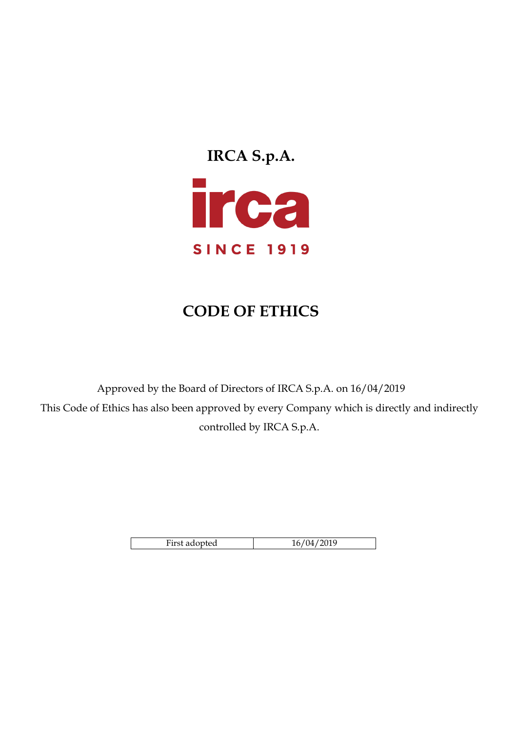

# **CODE OF ETHICS**

Approved by the Board of Directors of IRCA S.p.A. on 16/04/2019 This Code of Ethics has also been approved by every Company which is directly and indirectly controlled by IRCA S.p.A.

| First adopted | 1 Z<br>- |
|---------------|----------|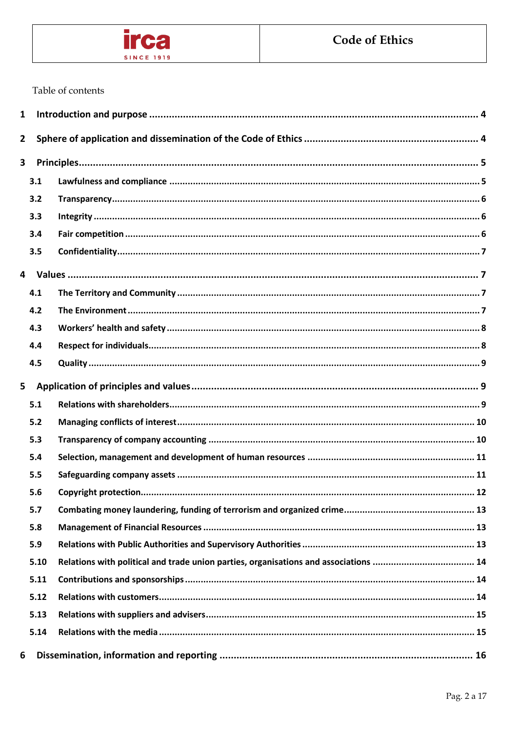

# Table of contents

| 1                       |      |      |  |
|-------------------------|------|------|--|
| $\overline{\mathbf{2}}$ |      |      |  |
| 3                       |      |      |  |
|                         | 3.1  |      |  |
|                         | 3.2  |      |  |
|                         | 3.3  |      |  |
|                         | 3.4  |      |  |
|                         | 3.5  |      |  |
|                         |      |      |  |
|                         | 4.1  |      |  |
|                         | 4.2  |      |  |
|                         | 4.3  |      |  |
|                         | 4.4  |      |  |
|                         | 4.5  |      |  |
| 5                       |      |      |  |
|                         | 5.1  |      |  |
|                         | 5.2  |      |  |
|                         | 5.3  |      |  |
|                         | 5.4  |      |  |
|                         | 5.5  |      |  |
|                         | 5.6  | . 12 |  |
|                         | 5.7  |      |  |
|                         | 5.8  |      |  |
|                         | 5.9  |      |  |
|                         | 5.10 |      |  |
|                         | 5.11 |      |  |
|                         | 5.12 |      |  |
|                         | 5.13 |      |  |
|                         | 5.14 |      |  |
| 6                       |      |      |  |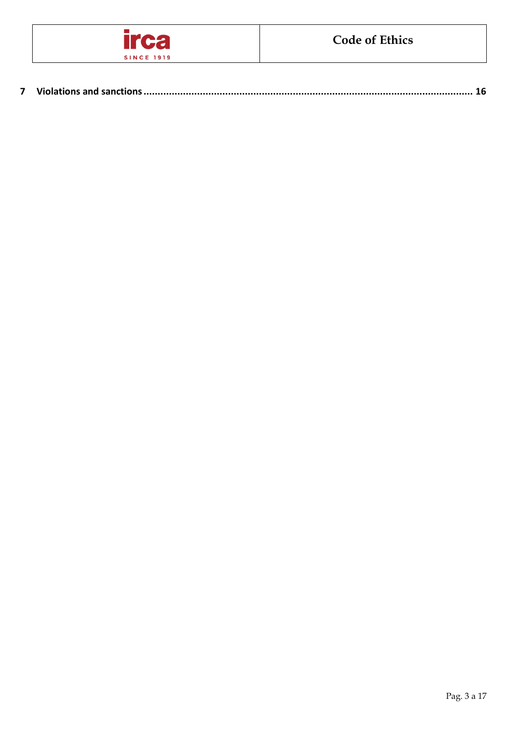

|--|--|--|--|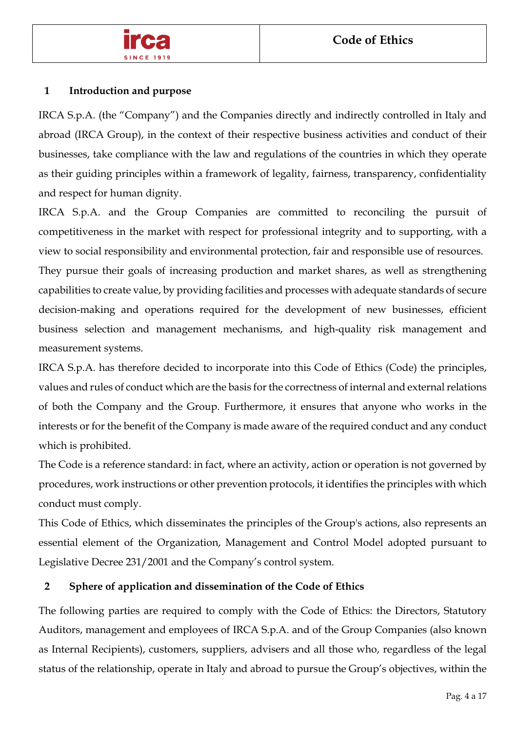

# **1 Introduction and purpose**

IRCA S.p.A. (the "Company") and the Companies directly and indirectly controlled in Italy and abroad (IRCA Group), in the context of their respective business activities and conduct of their businesses, take compliance with the law and regulations of the countries in which they operate as their guiding principles within a framework of legality, fairness, transparency, confidentiality and respect for human dignity.

IRCA S.p.A. and the Group Companies are committed to reconciling the pursuit of competitiveness in the market with respect for professional integrity and to supporting, with a view to social responsibility and environmental protection, fair and responsible use of resources.

They pursue their goals of increasing production and market shares, as well as strengthening capabilities to create value, by providing facilities and processes with adequate standards of secure decision-making and operations required for the development of new businesses, efficient business selection and management mechanisms, and high-quality risk management and measurement systems.

IRCA S.p.A. has therefore decided to incorporate into this Code of Ethics (Code) the principles, values and rules of conduct which are the basis for the correctness of internal and external relations of both the Company and the Group. Furthermore, it ensures that anyone who works in the interests or for the benefit of the Company is made aware of the required conduct and any conduct which is prohibited.

The Code is a reference standard: in fact, where an activity, action or operation is not governed by procedures, work instructions or other prevention protocols, it identifies the principles with which conduct must comply.

This Code of Ethics, which disseminates the principles of the Group's actions, also represents an essential element of the Organization, Management and Control Model adopted pursuant to Legislative Decree 231/2001 and the Company's control system.

# **2 Sphere of application and dissemination of the Code of Ethics**

The following parties are required to comply with the Code of Ethics: the Directors, Statutory Auditors, management and employees of IRCA S.p.A. and of the Group Companies (also known as Internal Recipients), customers, suppliers, advisers and all those who, regardless of the legal status of the relationship, operate in Italy and abroad to pursue the Group's objectives, within the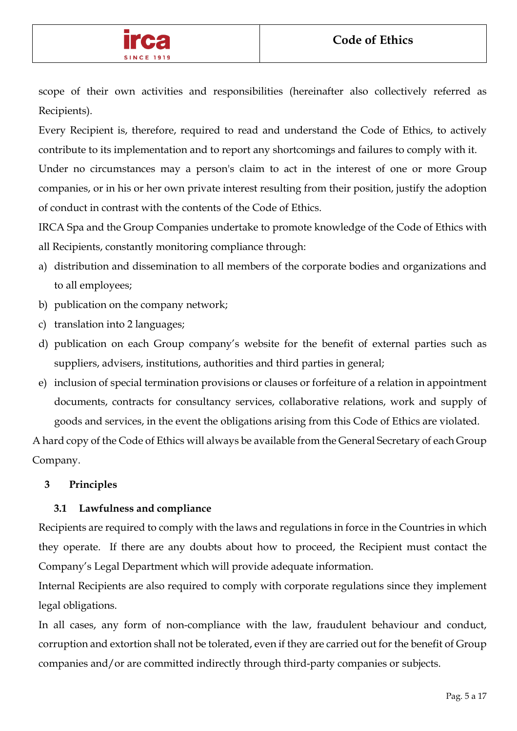

scope of their own activities and responsibilities (hereinafter also collectively referred as Recipients).

Every Recipient is, therefore, required to read and understand the Code of Ethics, to actively contribute to its implementation and to report any shortcomings and failures to comply with it. Under no circumstances may a person's claim to act in the interest of one or more Group

companies, or in his or her own private interest resulting from their position, justify the adoption of conduct in contrast with the contents of the Code of Ethics.

IRCA Spa and the Group Companies undertake to promote knowledge of the Code of Ethics with all Recipients, constantly monitoring compliance through:

- a) distribution and dissemination to all members of the corporate bodies and organizations and to all employees;
- b) publication on the company network;
- c) translation into 2 languages;
- d) publication on each Group company's website for the benefit of external parties such as suppliers, advisers, institutions, authorities and third parties in general;
- e) inclusion of special termination provisions or clauses or forfeiture of a relation in appointment documents, contracts for consultancy services, collaborative relations, work and supply of goods and services, in the event the obligations arising from this Code of Ethics are violated.

A hard copy of the Code of Ethics will always be available from the General Secretary of each Group Company.

# **3 Principles**

# **3.1 Lawfulness and compliance**

Recipients are required to comply with the laws and regulations in force in the Countries in which they operate. If there are any doubts about how to proceed, the Recipient must contact the Company's Legal Department which will provide adequate information.

Internal Recipients are also required to comply with corporate regulations since they implement legal obligations.

In all cases, any form of non-compliance with the law, fraudulent behaviour and conduct, corruption and extortion shall not be tolerated, even if they are carried out for the benefit of Group companies and/or are committed indirectly through third-party companies or subjects.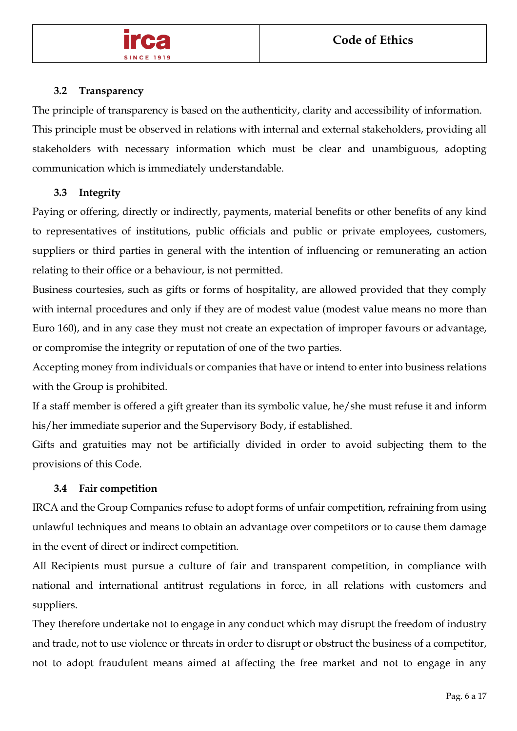

#### **3.2 Transparency**

The principle of transparency is based on the authenticity, clarity and accessibility of information. This principle must be observed in relations with internal and external stakeholders, providing all stakeholders with necessary information which must be clear and unambiguous, adopting communication which is immediately understandable.

#### **3.3 Integrity**

Paying or offering, directly or indirectly, payments, material benefits or other benefits of any kind to representatives of institutions, public officials and public or private employees, customers, suppliers or third parties in general with the intention of influencing or remunerating an action relating to their office or a behaviour, is not permitted.

Business courtesies, such as gifts or forms of hospitality, are allowed provided that they comply with internal procedures and only if they are of modest value (modest value means no more than Euro 160), and in any case they must not create an expectation of improper favours or advantage, or compromise the integrity or reputation of one of the two parties.

Accepting money from individuals or companies that have or intend to enter into business relations with the Group is prohibited.

If a staff member is offered a gift greater than its symbolic value, he/she must refuse it and inform his/her immediate superior and the Supervisory Body, if established.

Gifts and gratuities may not be artificially divided in order to avoid subjecting them to the provisions of this Code.

# **3.4 Fair competition**

IRCA and the Group Companies refuse to adopt forms of unfair competition, refraining from using unlawful techniques and means to obtain an advantage over competitors or to cause them damage in the event of direct or indirect competition.

All Recipients must pursue a culture of fair and transparent competition, in compliance with national and international antitrust regulations in force, in all relations with customers and suppliers.

They therefore undertake not to engage in any conduct which may disrupt the freedom of industry and trade, not to use violence or threats in order to disrupt or obstruct the business of a competitor, not to adopt fraudulent means aimed at affecting the free market and not to engage in any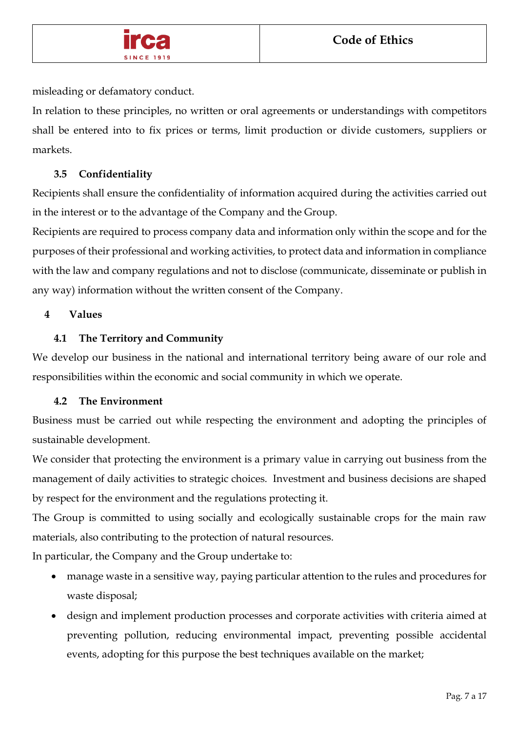

misleading or defamatory conduct.

In relation to these principles, no written or oral agreements or understandings with competitors shall be entered into to fix prices or terms, limit production or divide customers, suppliers or markets.

# **3.5 Confidentiality**

Recipients shall ensure the confidentiality of information acquired during the activities carried out in the interest or to the advantage of the Company and the Group.

Recipients are required to process company data and information only within the scope and for the purposes of their professional and working activities, to protect data and information in compliance with the law and company regulations and not to disclose (communicate, disseminate or publish in any way) information without the written consent of the Company.

# **4 Values**

# **4.1 The Territory and Community**

We develop our business in the national and international territory being aware of our role and responsibilities within the economic and social community in which we operate.

# **4.2 The Environment**

Business must be carried out while respecting the environment and adopting the principles of sustainable development.

We consider that protecting the environment is a primary value in carrying out business from the management of daily activities to strategic choices. Investment and business decisions are shaped by respect for the environment and the regulations protecting it.

The Group is committed to using socially and ecologically sustainable crops for the main raw materials, also contributing to the protection of natural resources.

In particular, the Company and the Group undertake to:

- manage waste in a sensitive way, paying particular attention to the rules and procedures for waste disposal;
- design and implement production processes and corporate activities with criteria aimed at preventing pollution, reducing environmental impact, preventing possible accidental events, adopting for this purpose the best techniques available on the market;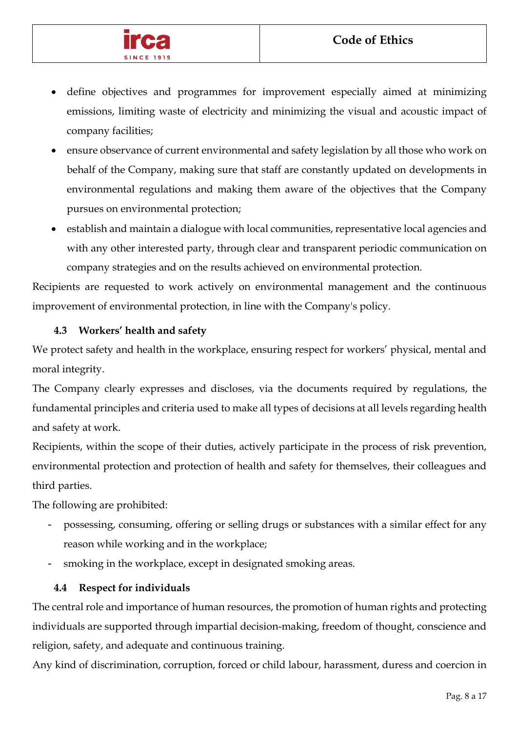

- define objectives and programmes for improvement especially aimed at minimizing emissions, limiting waste of electricity and minimizing the visual and acoustic impact of company facilities;
- ensure observance of current environmental and safety legislation by all those who work on behalf of the Company, making sure that staff are constantly updated on developments in environmental regulations and making them aware of the objectives that the Company pursues on environmental protection;
- establish and maintain a dialogue with local communities, representative local agencies and with any other interested party, through clear and transparent periodic communication on company strategies and on the results achieved on environmental protection.

Recipients are requested to work actively on environmental management and the continuous improvement of environmental protection, in line with the Company's policy.

# **4.3 Workers' health and safety**

We protect safety and health in the workplace, ensuring respect for workers' physical, mental and moral integrity.

The Company clearly expresses and discloses, via the documents required by regulations, the fundamental principles and criteria used to make all types of decisions at all levels regarding health and safety at work.

Recipients, within the scope of their duties, actively participate in the process of risk prevention, environmental protection and protection of health and safety for themselves, their colleagues and third parties.

The following are prohibited:

- possessing, consuming, offering or selling drugs or substances with a similar effect for any reason while working and in the workplace;
- smoking in the workplace, except in designated smoking areas.

# **4.4 Respect for individuals**

The central role and importance of human resources, the promotion of human rights and protecting individuals are supported through impartial decision-making, freedom of thought, conscience and religion, safety, and adequate and continuous training.

Any kind of discrimination, corruption, forced or child labour, harassment, duress and coercion in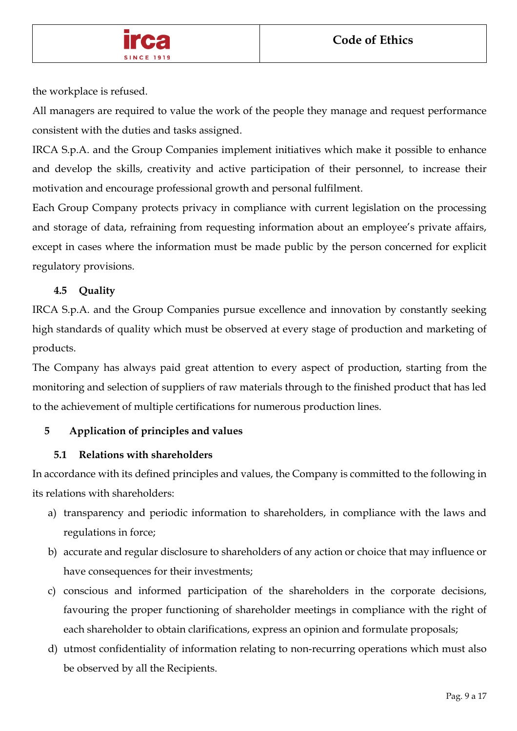

the workplace is refused.

All managers are required to value the work of the people they manage and request performance consistent with the duties and tasks assigned.

IRCA S.p.A. and the Group Companies implement initiatives which make it possible to enhance and develop the skills, creativity and active participation of their personnel, to increase their motivation and encourage professional growth and personal fulfilment.

Each Group Company protects privacy in compliance with current legislation on the processing and storage of data, refraining from requesting information about an employee's private affairs, except in cases where the information must be made public by the person concerned for explicit regulatory provisions.

# **4.5 Quality**

IRCA S.p.A. and the Group Companies pursue excellence and innovation by constantly seeking high standards of quality which must be observed at every stage of production and marketing of products.

The Company has always paid great attention to every aspect of production, starting from the monitoring and selection of suppliers of raw materials through to the finished product that has led to the achievement of multiple certifications for numerous production lines.

# **5 Application of principles and values**

# **5.1 Relations with shareholders**

In accordance with its defined principles and values, the Company is committed to the following in its relations with shareholders:

- a) transparency and periodic information to shareholders, in compliance with the laws and regulations in force;
- b) accurate and regular disclosure to shareholders of any action or choice that may influence or have consequences for their investments;
- c) conscious and informed participation of the shareholders in the corporate decisions, favouring the proper functioning of shareholder meetings in compliance with the right of each shareholder to obtain clarifications, express an opinion and formulate proposals;
- d) utmost confidentiality of information relating to non-recurring operations which must also be observed by all the Recipients.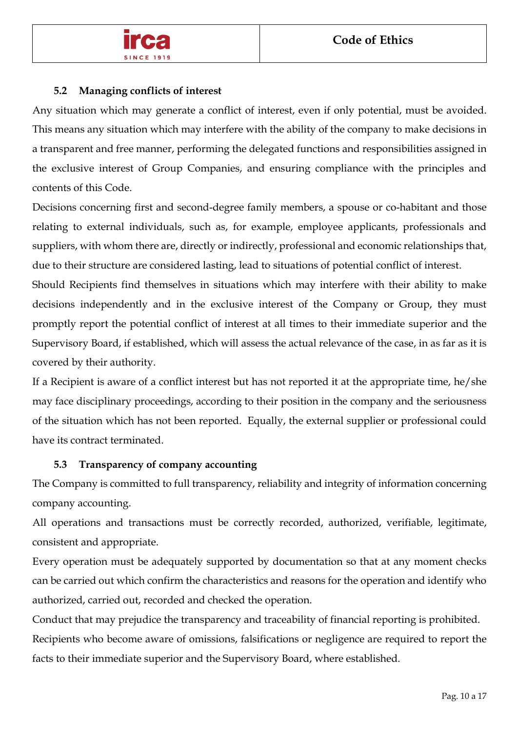

# **5.2 Managing conflicts of interest**

Any situation which may generate a conflict of interest, even if only potential, must be avoided. This means any situation which may interfere with the ability of the company to make decisions in a transparent and free manner, performing the delegated functions and responsibilities assigned in the exclusive interest of Group Companies, and ensuring compliance with the principles and contents of this Code.

Decisions concerning first and second-degree family members, a spouse or co-habitant and those relating to external individuals, such as, for example, employee applicants, professionals and suppliers, with whom there are, directly or indirectly, professional and economic relationships that, due to their structure are considered lasting, lead to situations of potential conflict of interest.

Should Recipients find themselves in situations which may interfere with their ability to make decisions independently and in the exclusive interest of the Company or Group, they must promptly report the potential conflict of interest at all times to their immediate superior and the Supervisory Board, if established, which will assess the actual relevance of the case, in as far as it is covered by their authority.

If a Recipient is aware of a conflict interest but has not reported it at the appropriate time, he/she may face disciplinary proceedings, according to their position in the company and the seriousness of the situation which has not been reported. Equally, the external supplier or professional could have its contract terminated.

# **5.3 Transparency of company accounting**

The Company is committed to full transparency, reliability and integrity of information concerning company accounting.

All operations and transactions must be correctly recorded, authorized, verifiable, legitimate, consistent and appropriate.

Every operation must be adequately supported by documentation so that at any moment checks can be carried out which confirm the characteristics and reasons for the operation and identify who authorized, carried out, recorded and checked the operation.

Conduct that may prejudice the transparency and traceability of financial reporting is prohibited. Recipients who become aware of omissions, falsifications or negligence are required to report the facts to their immediate superior and the Supervisory Board, where established.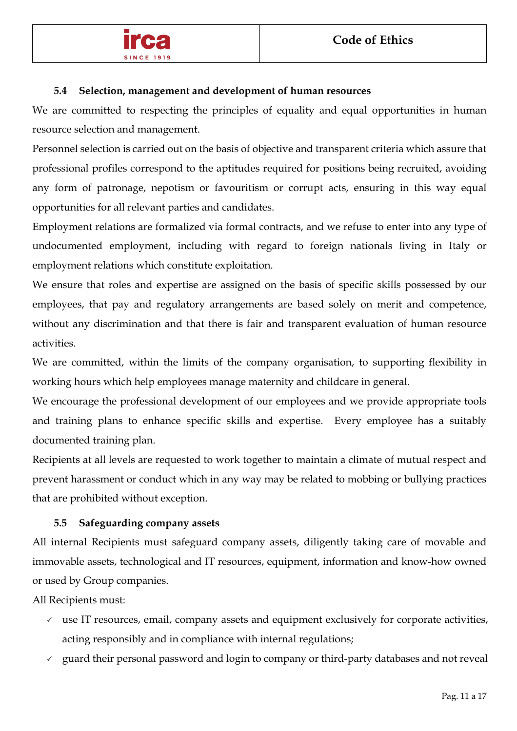

#### **5.4 Selection, management and development of human resources**

We are committed to respecting the principles of equality and equal opportunities in human resource selection and management.

Personnel selection is carried out on the basis of objective and transparent criteria which assure that professional profiles correspond to the aptitudes required for positions being recruited, avoiding any form of patronage, nepotism or favouritism or corrupt acts, ensuring in this way equal opportunities for all relevant parties and candidates.

Employment relations are formalized via formal contracts, and we refuse to enter into any type of undocumented employment, including with regard to foreign nationals living in Italy or employment relations which constitute exploitation.

We ensure that roles and expertise are assigned on the basis of specific skills possessed by our employees, that pay and regulatory arrangements are based solely on merit and competence, without any discrimination and that there is fair and transparent evaluation of human resource activities.

We are committed, within the limits of the company organisation, to supporting flexibility in working hours which help employees manage maternity and childcare in general.

We encourage the professional development of our employees and we provide appropriate tools and training plans to enhance specific skills and expertise. Every employee has a suitably documented training plan.

Recipients at all levels are requested to work together to maintain a climate of mutual respect and prevent harassment or conduct which in any way may be related to mobbing or bullying practices that are prohibited without exception.

# **5.5 Safeguarding company assets**

All internal Recipients must safeguard company assets, diligently taking care of movable and immovable assets, technological and IT resources, equipment, information and know-how owned or used by Group companies.

All Recipients must:

- $\checkmark$  use IT resources, email, company assets and equipment exclusively for corporate activities, acting responsibly and in compliance with internal regulations;
- $\checkmark$  guard their personal password and login to company or third-party databases and not reveal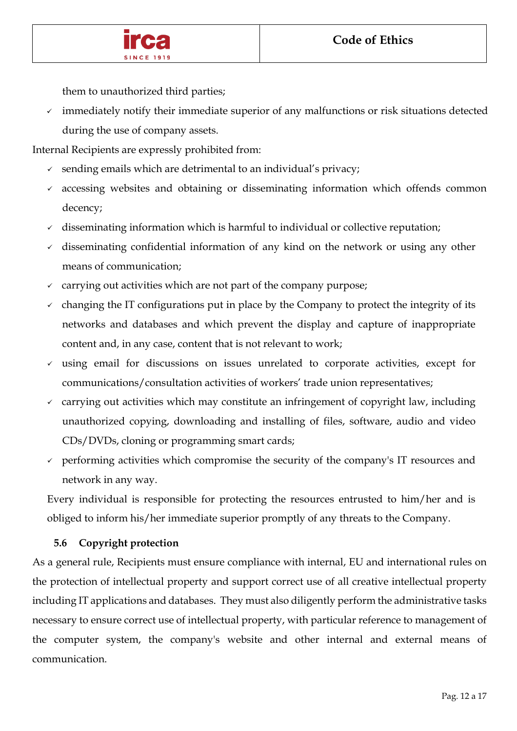

them to unauthorized third parties;

 $\checkmark$  immediately notify their immediate superior of any malfunctions or risk situations detected during the use of company assets.

Internal Recipients are expressly prohibited from:

- $\checkmark$  sending emails which are detrimental to an individual's privacy;
- accessing websites and obtaining or disseminating information which offends common decency;
- $\checkmark$  disseminating information which is harmful to individual or collective reputation;
- disseminating confidential information of any kind on the network or using any other means of communication;
- carrying out activities which are not part of the company purpose;
- changing the IT configurations put in place by the Company to protect the integrity of its networks and databases and which prevent the display and capture of inappropriate content and, in any case, content that is not relevant to work;
- $\checkmark$  using email for discussions on issues unrelated to corporate activities, except for communications/consultation activities of workers' trade union representatives;
- $\checkmark$  carrying out activities which may constitute an infringement of copyright law, including unauthorized copying, downloading and installing of files, software, audio and video CDs/DVDs, cloning or programming smart cards;
- $\gamma$  performing activities which compromise the security of the company's IT resources and network in any way.

Every individual is responsible for protecting the resources entrusted to him/her and is obliged to inform his/her immediate superior promptly of any threats to the Company.

# **5.6 Copyright protection**

As a general rule, Recipients must ensure compliance with internal, EU and international rules on the protection of intellectual property and support correct use of all creative intellectual property including IT applications and databases. They must also diligently perform the administrative tasks necessary to ensure correct use of intellectual property, with particular reference to management of the computer system, the company's website and other internal and external means of communication.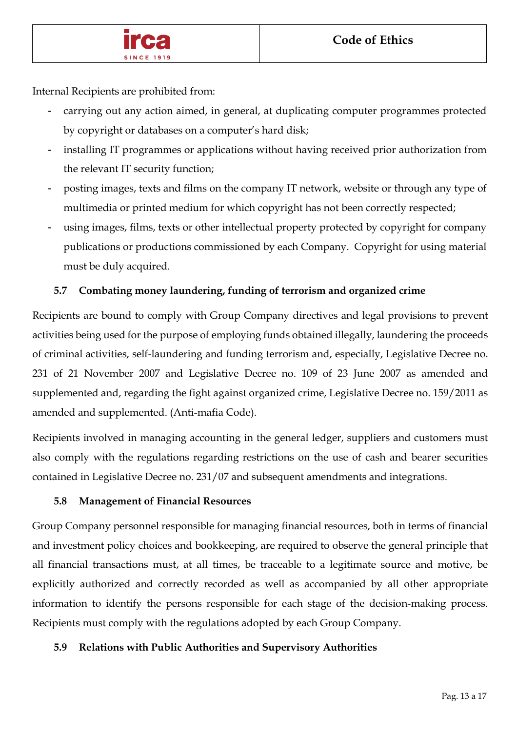

Internal Recipients are prohibited from:

- carrying out any action aimed, in general, at duplicating computer programmes protected by copyright or databases on a computer's hard disk;
- installing IT programmes or applications without having received prior authorization from the relevant IT security function;
- posting images, texts and films on the company IT network, website or through any type of multimedia or printed medium for which copyright has not been correctly respected;
- using images, films, texts or other intellectual property protected by copyright for company publications or productions commissioned by each Company. Copyright for using material must be duly acquired.

# **5.7 Combating money laundering, funding of terrorism and organized crime**

Recipients are bound to comply with Group Company directives and legal provisions to prevent activities being used for the purpose of employing funds obtained illegally, laundering the proceeds of criminal activities, self-laundering and funding terrorism and, especially, Legislative Decree no. 231 of 21 November 2007 and Legislative Decree no. 109 of 23 June 2007 as amended and supplemented and, regarding the fight against organized crime, Legislative Decree no. 159/2011 as amended and supplemented. (Anti-mafia Code).

Recipients involved in managing accounting in the general ledger, suppliers and customers must also comply with the regulations regarding restrictions on the use of cash and bearer securities contained in Legislative Decree no. 231/07 and subsequent amendments and integrations.

# **5.8 Management of Financial Resources**

Group Company personnel responsible for managing financial resources, both in terms of financial and investment policy choices and bookkeeping, are required to observe the general principle that all financial transactions must, at all times, be traceable to a legitimate source and motive, be explicitly authorized and correctly recorded as well as accompanied by all other appropriate information to identify the persons responsible for each stage of the decision-making process. Recipients must comply with the regulations adopted by each Group Company.

# **5.9 Relations with Public Authorities and Supervisory Authorities**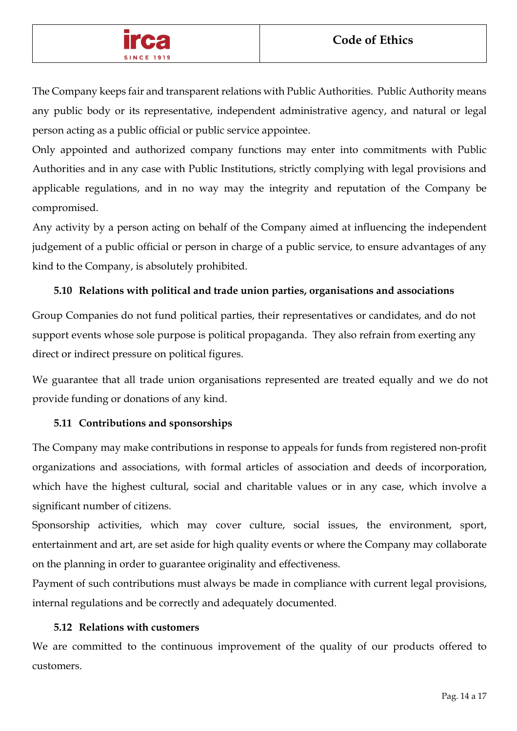

The Company keeps fair and transparent relations with Public Authorities. Public Authority means any public body or its representative, independent administrative agency, and natural or legal person acting as a public official or public service appointee.

Only appointed and authorized company functions may enter into commitments with Public Authorities and in any case with Public Institutions, strictly complying with legal provisions and applicable regulations, and in no way may the integrity and reputation of the Company be compromised.

Any activity by a person acting on behalf of the Company aimed at influencing the independent judgement of a public official or person in charge of a public service, to ensure advantages of any kind to the Company, is absolutely prohibited.

# **5.10 Relations with political and trade union parties, organisations and associations**

Group Companies do not fund political parties, their representatives or candidates, and do not support events whose sole purpose is political propaganda. They also refrain from exerting any direct or indirect pressure on political figures.

We guarantee that all trade union organisations represented are treated equally and we do not provide funding or donations of any kind.

# **5.11 Contributions and sponsorships**

The Company may make contributions in response to appeals for funds from registered non-profit organizations and associations, with formal articles of association and deeds of incorporation, which have the highest cultural, social and charitable values or in any case, which involve a significant number of citizens.

Sponsorship activities, which may cover culture, social issues, the environment, sport, entertainment and art, are set aside for high quality events or where the Company may collaborate on the planning in order to guarantee originality and effectiveness.

Payment of such contributions must always be made in compliance with current legal provisions, internal regulations and be correctly and adequately documented.

# **5.12 Relations with customers**

We are committed to the continuous improvement of the quality of our products offered to customers.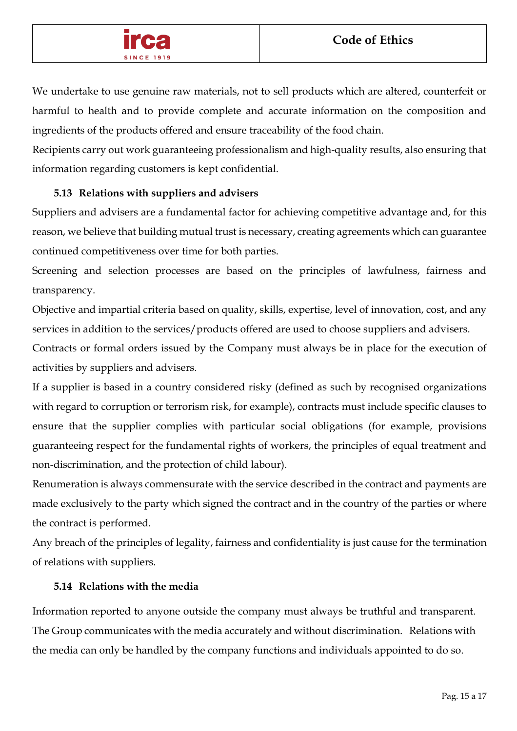

We undertake to use genuine raw materials, not to sell products which are altered, counterfeit or harmful to health and to provide complete and accurate information on the composition and ingredients of the products offered and ensure traceability of the food chain.

Recipients carry out work guaranteeing professionalism and high-quality results, also ensuring that information regarding customers is kept confidential.

# **5.13 Relations with suppliers and advisers**

Suppliers and advisers are a fundamental factor for achieving competitive advantage and, for this reason, we believe that building mutual trust is necessary, creating agreements which can guarantee continued competitiveness over time for both parties.

Screening and selection processes are based on the principles of lawfulness, fairness and transparency.

Objective and impartial criteria based on quality, skills, expertise, level of innovation, cost, and any services in addition to the services/products offered are used to choose suppliers and advisers.

Contracts or formal orders issued by the Company must always be in place for the execution of activities by suppliers and advisers.

If a supplier is based in a country considered risky (defined as such by recognised organizations with regard to corruption or terrorism risk, for example), contracts must include specific clauses to ensure that the supplier complies with particular social obligations (for example, provisions guaranteeing respect for the fundamental rights of workers, the principles of equal treatment and non-discrimination, and the protection of child labour).

Renumeration is always commensurate with the service described in the contract and payments are made exclusively to the party which signed the contract and in the country of the parties or where the contract is performed.

Any breach of the principles of legality, fairness and confidentiality is just cause for the termination of relations with suppliers.

# **5.14 Relations with the media**

Information reported to anyone outside the company must always be truthful and transparent. The Group communicates with the media accurately and without discrimination. Relations with the media can only be handled by the company functions and individuals appointed to do so.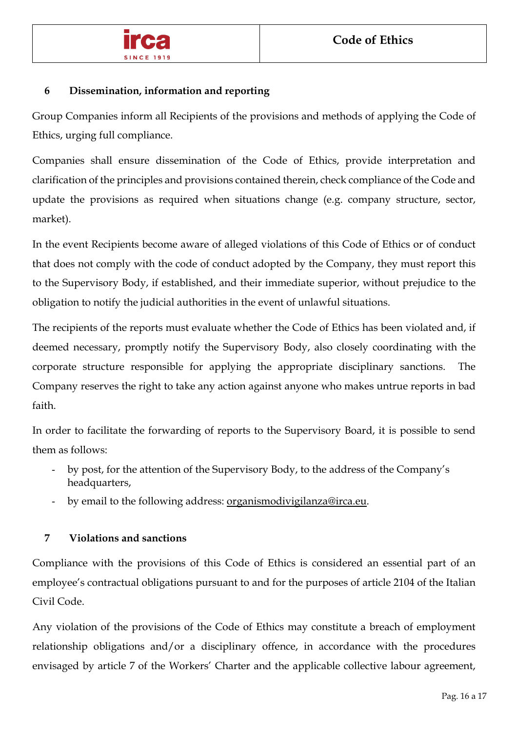

# **6 Dissemination, information and reporting**

Group Companies inform all Recipients of the provisions and methods of applying the Code of Ethics, urging full compliance.

Companies shall ensure dissemination of the Code of Ethics, provide interpretation and clarification of the principles and provisions contained therein, check compliance of the Code and update the provisions as required when situations change (e.g. company structure, sector, market).

In the event Recipients become aware of alleged violations of this Code of Ethics or of conduct that does not comply with the code of conduct adopted by the Company, they must report this to the Supervisory Body, if established, and their immediate superior, without prejudice to the obligation to notify the judicial authorities in the event of unlawful situations.

The recipients of the reports must evaluate whether the Code of Ethics has been violated and, if deemed necessary, promptly notify the Supervisory Body, also closely coordinating with the corporate structure responsible for applying the appropriate disciplinary sanctions. The Company reserves the right to take any action against anyone who makes untrue reports in bad faith.

In order to facilitate the forwarding of reports to the Supervisory Board, it is possible to send them as follows:

- by post, for the attention of the Supervisory Body, to the address of the Company's headquarters,
- by email to the following address: [organismodivigilanza@irca.eu.](mailto:organismodivigilanza@irca.eu)

# **7 Violations and sanctions**

Compliance with the provisions of this Code of Ethics is considered an essential part of an employee's contractual obligations pursuant to and for the purposes of article 2104 of the Italian Civil Code.

Any violation of the provisions of the Code of Ethics may constitute a breach of employment relationship obligations and/or a disciplinary offence, in accordance with the procedures envisaged by article 7 of the Workers' Charter and the applicable collective labour agreement,